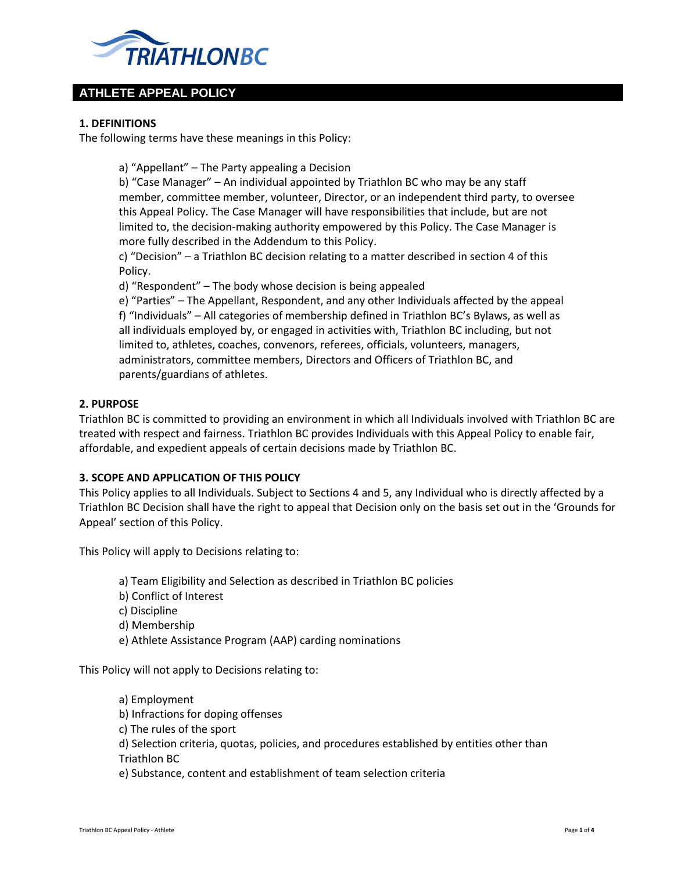

## **1. DEFINITIONS**

The following terms have these meanings in this Policy:

a) "Appellant" – The Party appealing a Decision

b) "Case Manager" – An individual appointed by Triathlon BC who may be any staff member, committee member, volunteer, Director, or an independent third party, to oversee this Appeal Policy. The Case Manager will have responsibilities that include, but are not limited to, the decision-making authority empowered by this Policy. The Case Manager is more fully described in the Addendum to this Policy.

c) "Decision" – a Triathlon BC decision relating to a matter described in section 4 of this Policy.

d) "Respondent" – The body whose decision is being appealed

e) "Parties" – The Appellant, Respondent, and any other Individuals affected by the appeal f) "Individuals" – All categories of membership defined in Triathlon BC's Bylaws, as well as all individuals employed by, or engaged in activities with, Triathlon BC including, but not limited to, athletes, coaches, convenors, referees, officials, volunteers, managers, administrators, committee members, Directors and Officers of Triathlon BC, and parents/guardians of athletes.

## **2. PURPOSE**

Triathlon BC is committed to providing an environment in which all Individuals involved with Triathlon BC are treated with respect and fairness. Triathlon BC provides Individuals with this Appeal Policy to enable fair, affordable, and expedient appeals of certain decisions made by Triathlon BC.

## **3. SCOPE AND APPLICATION OF THIS POLICY**

This Policy applies to all Individuals. Subject to Sections 4 and 5, any Individual who is directly affected by a Triathlon BC Decision shall have the right to appeal that Decision only on the basis set out in the 'Grounds for Appeal' section of this Policy.

This Policy will apply to Decisions relating to:

- a) Team Eligibility and Selection as described in Triathlon BC policies
- b) Conflict of Interest
- c) Discipline
- d) Membership
- e) Athlete Assistance Program (AAP) carding nominations

This Policy will not apply to Decisions relating to:

a) Employment b) Infractions for doping offenses c) The rules of the sport d) Selection criteria, quotas, policies, and procedures established by entities other than Triathlon BC e) Substance, content and establishment of team selection criteria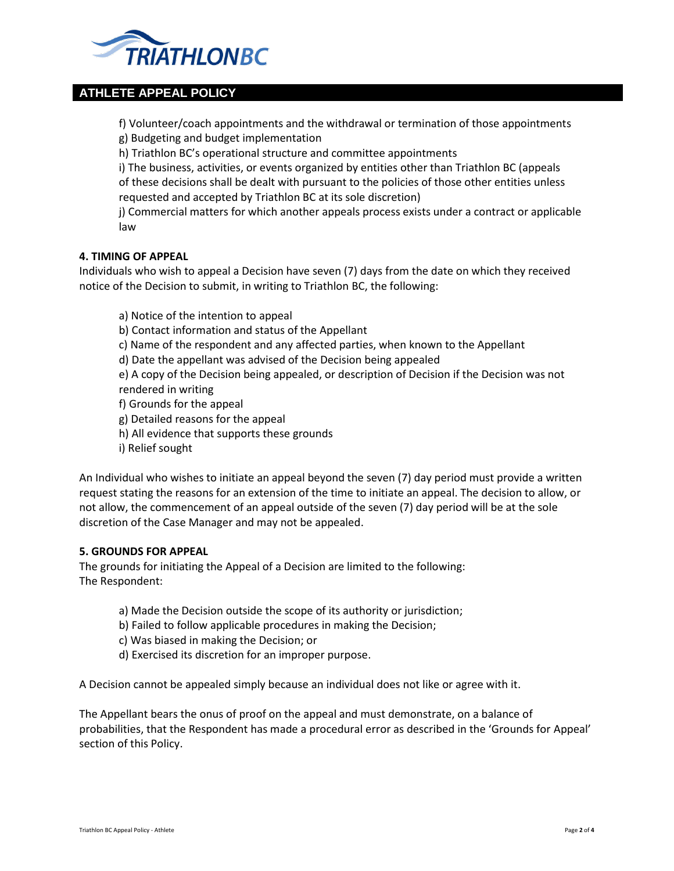

f) Volunteer/coach appointments and the withdrawal or termination of those appointments g) Budgeting and budget implementation

h) Triathlon BC's operational structure and committee appointments

i) The business, activities, or events organized by entities other than Triathlon BC (appeals of these decisions shall be dealt with pursuant to the policies of those other entities unless requested and accepted by Triathlon BC at its sole discretion)

j) Commercial matters for which another appeals process exists under a contract or applicable law

### **4. TIMING OF APPEAL**

Individuals who wish to appeal a Decision have seven (7) days from the date on which they received notice of the Decision to submit, in writing to Triathlon BC, the following:

a) Notice of the intention to appeal

- b) Contact information and status of the Appellant
- c) Name of the respondent and any affected parties, when known to the Appellant
- d) Date the appellant was advised of the Decision being appealed

e) A copy of the Decision being appealed, or description of Decision if the Decision was not rendered in writing

f) Grounds for the appeal

- g) Detailed reasons for the appeal
- h) All evidence that supports these grounds
- i) Relief sought

An Individual who wishes to initiate an appeal beyond the seven (7) day period must provide a written request stating the reasons for an extension of the time to initiate an appeal. The decision to allow, or not allow, the commencement of an appeal outside of the seven (7) day period will be at the sole discretion of the Case Manager and may not be appealed.

#### **5. GROUNDS FOR APPEAL**

The grounds for initiating the Appeal of a Decision are limited to the following: The Respondent:

- a) Made the Decision outside the scope of its authority or jurisdiction;
- b) Failed to follow applicable procedures in making the Decision;
- c) Was biased in making the Decision; or
- d) Exercised its discretion for an improper purpose.

A Decision cannot be appealed simply because an individual does not like or agree with it.

The Appellant bears the onus of proof on the appeal and must demonstrate, on a balance of probabilities, that the Respondent has made a procedural error as described in the 'Grounds for Appeal' section of this Policy.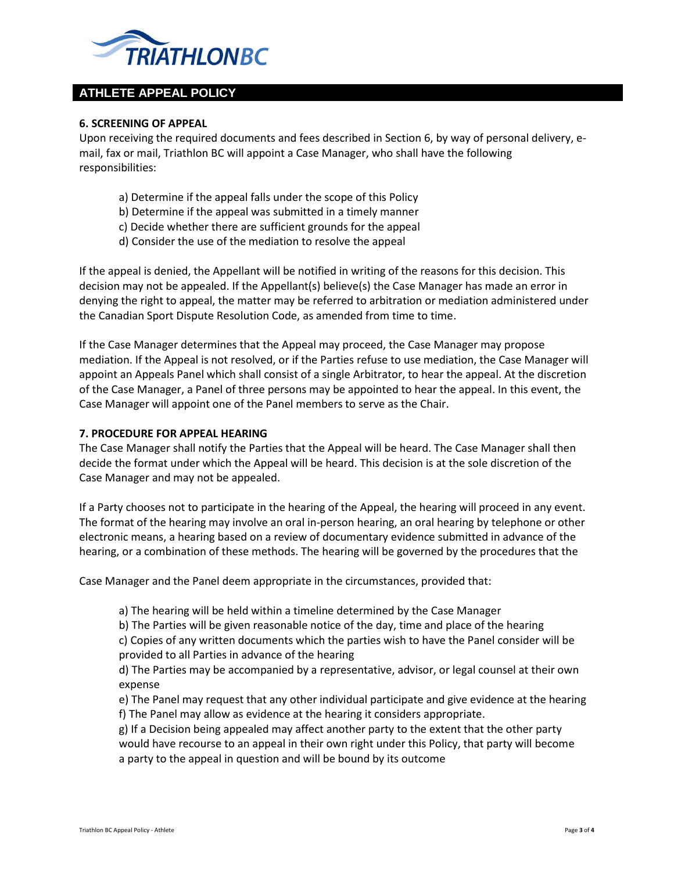

## **6. SCREENING OF APPEAL**

Upon receiving the required documents and fees described in Section 6, by way of personal delivery, email, fax or mail, Triathlon BC will appoint a Case Manager, who shall have the following responsibilities:

- a) Determine if the appeal falls under the scope of this Policy
- b) Determine if the appeal was submitted in a timely manner
- c) Decide whether there are sufficient grounds for the appeal
- d) Consider the use of the mediation to resolve the appeal

If the appeal is denied, the Appellant will be notified in writing of the reasons for this decision. This decision may not be appealed. If the Appellant(s) believe(s) the Case Manager has made an error in denying the right to appeal, the matter may be referred to arbitration or mediation administered under the Canadian Sport Dispute Resolution Code, as amended from time to time.

If the Case Manager determines that the Appeal may proceed, the Case Manager may propose mediation. If the Appeal is not resolved, or if the Parties refuse to use mediation, the Case Manager will appoint an Appeals Panel which shall consist of a single Arbitrator, to hear the appeal. At the discretion of the Case Manager, a Panel of three persons may be appointed to hear the appeal. In this event, the Case Manager will appoint one of the Panel members to serve as the Chair.

#### **7. PROCEDURE FOR APPEAL HEARING**

The Case Manager shall notify the Parties that the Appeal will be heard. The Case Manager shall then decide the format under which the Appeal will be heard. This decision is at the sole discretion of the Case Manager and may not be appealed.

If a Party chooses not to participate in the hearing of the Appeal, the hearing will proceed in any event. The format of the hearing may involve an oral in-person hearing, an oral hearing by telephone or other electronic means, a hearing based on a review of documentary evidence submitted in advance of the hearing, or a combination of these methods. The hearing will be governed by the procedures that the

Case Manager and the Panel deem appropriate in the circumstances, provided that:

a) The hearing will be held within a timeline determined by the Case Manager

b) The Parties will be given reasonable notice of the day, time and place of the hearing

c) Copies of any written documents which the parties wish to have the Panel consider will be provided to all Parties in advance of the hearing

d) The Parties may be accompanied by a representative, advisor, or legal counsel at their own expense

e) The Panel may request that any other individual participate and give evidence at the hearing f) The Panel may allow as evidence at the hearing it considers appropriate.

g) If a Decision being appealed may affect another party to the extent that the other party would have recourse to an appeal in their own right under this Policy, that party will become a party to the appeal in question and will be bound by its outcome